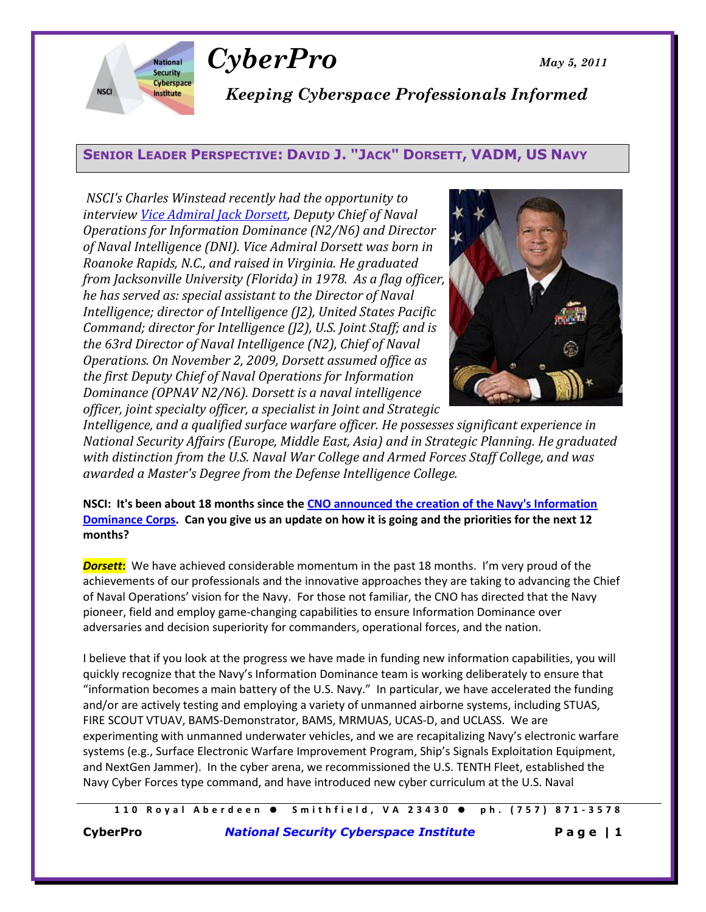

*CyberPro May 5, 2011*

*Keeping Cyberspace Professionals Informed*

# **SENIOR LEADER PERSPECTIVE: DAVID J. "JACK" DORSETT, VADM, US NAVY**

*NSCI's Charles Winstead recently had the opportunity to interview [Vice Admiral Jack Dorsett,](http://www.navy.mil/navydata/bios/navybio.asp?bioid=98) Deputy Chief of Naval Operations for Information Dominance (N2/N6) and Director of Naval Intelligence (DNI). Vice Admiral Dorsett was born in Roanoke Rapids, N.C., and raised in Virginia. He graduated from Jacksonville University (Florida) in 1978. As a flag officer, he has served as: special assistant to the Director of Naval Intelligence; director of Intelligence (J2), United States Pacific Command; director for Intelligence (J2), U.S. Joint Staff; and is the 63rd Director of Naval Intelligence (N2), Chief of Naval Operations. On November 2, 2009, Dorsett assumed office as the first Deputy Chief of Naval Operations for Information Dominance (OPNAV N2/N6). Dorsett is a naval intelligence officer, joint specialty officer, a specialist in Joint and Strategic* 



*Intelligence, and a qualified surface warfare officer. He possesses significant experience in National Security Affairs (Europe, Middle East, Asia) and in Strategic Planning. He graduated with distinction from the U.S. Naval War College and Armed Forces Staff College, and was awarded a Master's Degree from the Defense Intelligence College.*

**NSCI: It's been about 18 months since th[e CNO announced the creation of the Navy's Information](http://www.govexec.com/nextgov/1009/OPNAV5300.pdf)  [Dominance Corps.](http://www.govexec.com/nextgov/1009/OPNAV5300.pdf) Can you give us an update on how it is going and the priorities for the next 12 months?**

**Dorsett:** We have achieved considerable momentum in the past 18 months. I'm very proud of the achievements of our professionals and the innovative approaches they are taking to advancing the Chief of Naval Operations' vision for the Navy. For those not familiar, the CNO has directed that the Navy pioneer, field and employ game-changing capabilities to ensure Information Dominance over adversaries and decision superiority for commanders, operational forces, and the nation.

I believe that if you look at the progress we have made in funding new information capabilities, you will quickly recognize that the Navy's Information Dominance team is working deliberately to ensure that "information becomes a main battery of the U.S. Navy." In particular, we have accelerated the funding and/or are actively testing and employing a variety of unmanned airborne systems, including STUAS, FIRE SCOUT VTUAV, BAMS-Demonstrator, BAMS, MRMUAS, UCAS-D, and UCLASS. We are experimenting with unmanned underwater vehicles, and we are recapitalizing Navy's electronic warfare systems (e.g., Surface Electronic Warfare Improvement Program, Ship's Signals Exploitation Equipment, and NextGen Jammer). In the cyber arena, we recommissioned the U.S. TENTH Fleet, established the Navy Cyber Forces type command, and have introduced new cyber curriculum at the U.S. Naval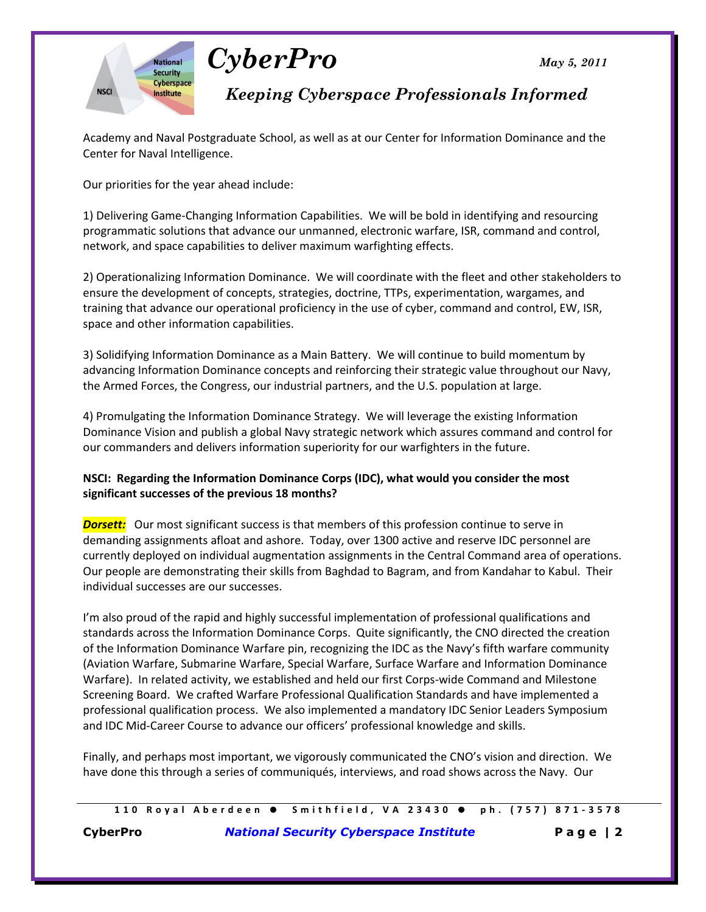



# *Keeping Cyberspace Professionals Informed*

Academy and Naval Postgraduate School, as well as at our Center for Information Dominance and the Center for Naval Intelligence.

Our priorities for the year ahead include:

1) Delivering Game-Changing Information Capabilities. We will be bold in identifying and resourcing programmatic solutions that advance our unmanned, electronic warfare, ISR, command and control, network, and space capabilities to deliver maximum warfighting effects.

2) Operationalizing Information Dominance. We will coordinate with the fleet and other stakeholders to ensure the development of concepts, strategies, doctrine, TTPs, experimentation, wargames, and training that advance our operational proficiency in the use of cyber, command and control, EW, ISR, space and other information capabilities.

3) Solidifying Information Dominance as a Main Battery. We will continue to build momentum by advancing Information Dominance concepts and reinforcing their strategic value throughout our Navy, the Armed Forces, the Congress, our industrial partners, and the U.S. population at large.

4) Promulgating the Information Dominance Strategy. We will leverage the existing Information Dominance Vision and publish a global Navy strategic network which assures command and control for our commanders and delivers information superiority for our warfighters in the future.

#### **NSCI: Regarding the Information Dominance Corps (IDC), what would you consider the most significant successes of the previous 18 months?**

**Dorsett:** Our most significant success is that members of this profession continue to serve in demanding assignments afloat and ashore. Today, over 1300 active and reserve IDC personnel are currently deployed on individual augmentation assignments in the Central Command area of operations. Our people are demonstrating their skills from Baghdad to Bagram, and from Kandahar to Kabul. Their individual successes are our successes.

I'm also proud of the rapid and highly successful implementation of professional qualifications and standards across the Information Dominance Corps. Quite significantly, the CNO directed the creation of the Information Dominance Warfare pin, recognizing the IDC as the Navy's fifth warfare community (Aviation Warfare, Submarine Warfare, Special Warfare, Surface Warfare and Information Dominance Warfare). In related activity, we established and held our first Corps-wide Command and Milestone Screening Board. We crafted Warfare Professional Qualification Standards and have implemented a professional qualification process. We also implemented a mandatory IDC Senior Leaders Symposium and IDC Mid-Career Course to advance our officers' professional knowledge and skills.

Finally, and perhaps most important, we vigorously communicated the CNO's vision and direction. We have done this through a series of communiqués, interviews, and road shows across the Navy. Our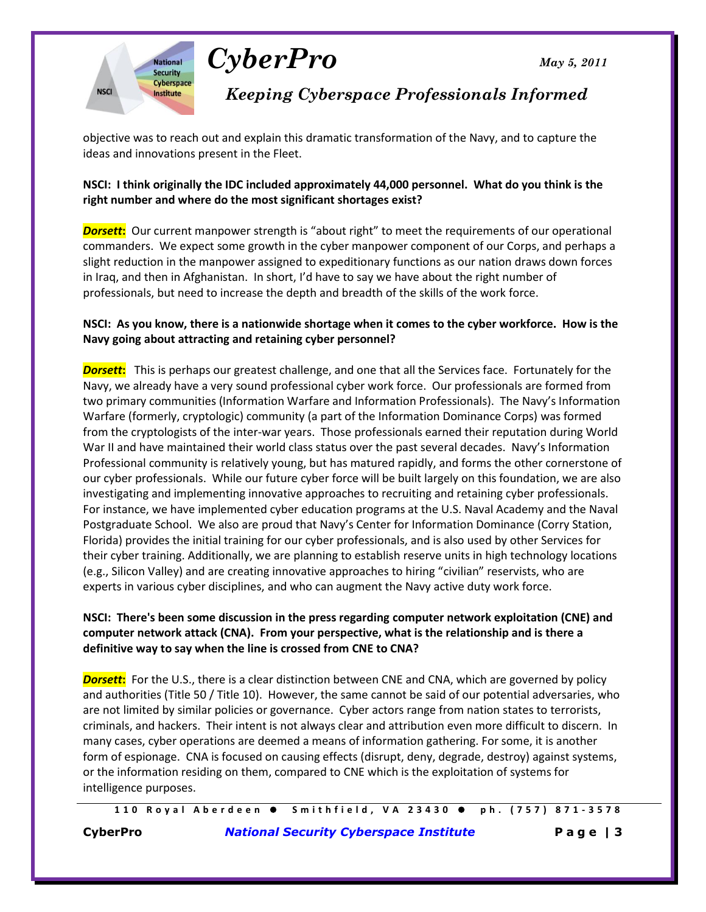



*Keeping Cyberspace Professionals Informed*

objective was to reach out and explain this dramatic transformation of the Navy, and to capture the ideas and innovations present in the Fleet.

#### **NSCI: I think originally the IDC included approximately 44,000 personnel. What do you think is the right number and where do the most significant shortages exist?**

*Dorsett*: Our current manpower strength is "about right" to meet the requirements of our operational commanders. We expect some growth in the cyber manpower component of our Corps, and perhaps a slight reduction in the manpower assigned to expeditionary functions as our nation draws down forces in Iraq, and then in Afghanistan. In short, I'd have to say we have about the right number of professionals, but need to increase the depth and breadth of the skills of the work force.

## **NSCI: As you know, there is a nationwide shortage when it comes to the cyber workforce. How is the Navy going about attracting and retaining cyber personnel?**

*Dorsett***:** This is perhaps our greatest challenge, and one that all the Services face. Fortunately for the Navy, we already have a very sound professional cyber work force. Our professionals are formed from two primary communities (Information Warfare and Information Professionals). The Navy's Information Warfare (formerly, cryptologic) community (a part of the Information Dominance Corps) was formed from the cryptologists of the inter-war years. Those professionals earned their reputation during World War II and have maintained their world class status over the past several decades. Navy's Information Professional community is relatively young, but has matured rapidly, and forms the other cornerstone of our cyber professionals. While our future cyber force will be built largely on this foundation, we are also investigating and implementing innovative approaches to recruiting and retaining cyber professionals. For instance, we have implemented cyber education programs at the U.S. Naval Academy and the Naval Postgraduate School. We also are proud that Navy's Center for Information Dominance (Corry Station, Florida) provides the initial training for our cyber professionals, and is also used by other Services for their cyber training. Additionally, we are planning to establish reserve units in high technology locations (e.g., Silicon Valley) and are creating innovative approaches to hiring "civilian" reservists, who are experts in various cyber disciplines, and who can augment the Navy active duty work force.

## **NSCI: There's been some discussion in the press regarding computer network exploitation (CNE) and computer network attack (CNA). From your perspective, what is the relationship and is there a definitive way to say when the line is crossed from CNE to CNA?**

*Dorsett***:** For the U.S., there is a clear distinction between CNE and CNA, which are governed by policy and authorities (Title 50 / Title 10). However, the same cannot be said of our potential adversaries, who are not limited by similar policies or governance. Cyber actors range from nation states to terrorists, criminals, and hackers. Their intent is not always clear and attribution even more difficult to discern. In many cases, cyber operations are deemed a means of information gathering. For some, it is another form of espionage. CNA is focused on causing effects (disrupt, deny, degrade, destroy) against systems, or the information residing on them, compared to CNE which is the exploitation of systems for intelligence purposes.

**1 1 0 R o y a l A b e r d e e n S m i t h f i e l d , V A 2 3 4 3 0 p h . ( 7 5 7 ) 8 7 1 - 3578**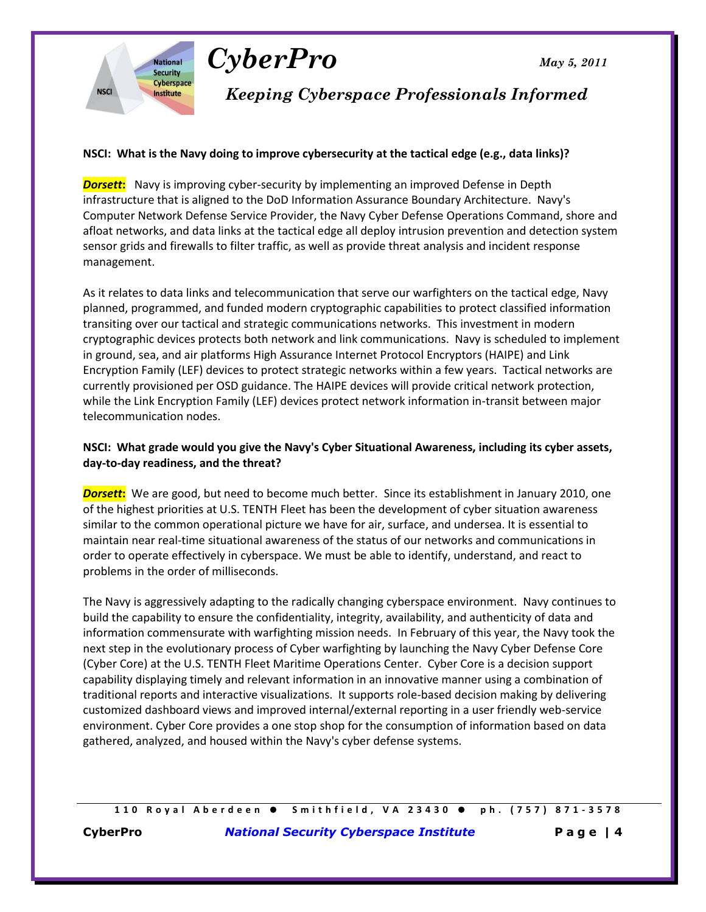



**National Security** Cyberspace

**Institute** 

**NSCI** 

*Keeping Cyberspace Professionals Informed*

#### **NSCI: What is the Navy doing to improve cybersecurity at the tactical edge (e.g., data links)?**

**Dorsett:** Navy is improving cyber-security by implementing an improved Defense in Depth infrastructure that is aligned to the DoD Information Assurance Boundary Architecture. Navy's Computer Network Defense Service Provider, the Navy Cyber Defense Operations Command, shore and afloat networks, and data links at the tactical edge all deploy intrusion prevention and detection system sensor grids and firewalls to filter traffic, as well as provide threat analysis and incident response management.

As it relates to data links and telecommunication that serve our warfighters on the tactical edge, Navy planned, programmed, and funded modern cryptographic capabilities to protect classified information transiting over our tactical and strategic communications networks. This investment in modern cryptographic devices protects both network and link communications. Navy is scheduled to implement in ground, sea, and air platforms High Assurance Internet Protocol Encryptors (HAIPE) and Link Encryption Family (LEF) devices to protect strategic networks within a few years. Tactical networks are currently provisioned per OSD guidance. The HAIPE devices will provide critical network protection, while the Link Encryption Family (LEF) devices protect network information in-transit between major telecommunication nodes.

#### **NSCI: What grade would you give the Navy's Cyber Situational Awareness, including its cyber assets, day-to-day readiness, and the threat?**

*Dorsett***:** We are good, but need to become much better. Since its establishment in January 2010, one of the highest priorities at U.S. TENTH Fleet has been the development of cyber situation awareness similar to the common operational picture we have for air, surface, and undersea. It is essential to maintain near real-time situational awareness of the status of our networks and communications in order to operate effectively in cyberspace. We must be able to identify, understand, and react to problems in the order of milliseconds.

The Navy is aggressively adapting to the radically changing cyberspace environment. Navy continues to build the capability to ensure the confidentiality, integrity, availability, and authenticity of data and information commensurate with warfighting mission needs. In February of this year, the Navy took the next step in the evolutionary process of Cyber warfighting by launching the Navy Cyber Defense Core (Cyber Core) at the U.S. TENTH Fleet Maritime Operations Center. Cyber Core is a decision support capability displaying timely and relevant information in an innovative manner using a combination of traditional reports and interactive visualizations. It supports role-based decision making by delivering customized dashboard views and improved internal/external reporting in a user friendly web-service environment. Cyber Core provides a one stop shop for the consumption of information based on data gathered, analyzed, and housed within the Navy's cyber defense systems.